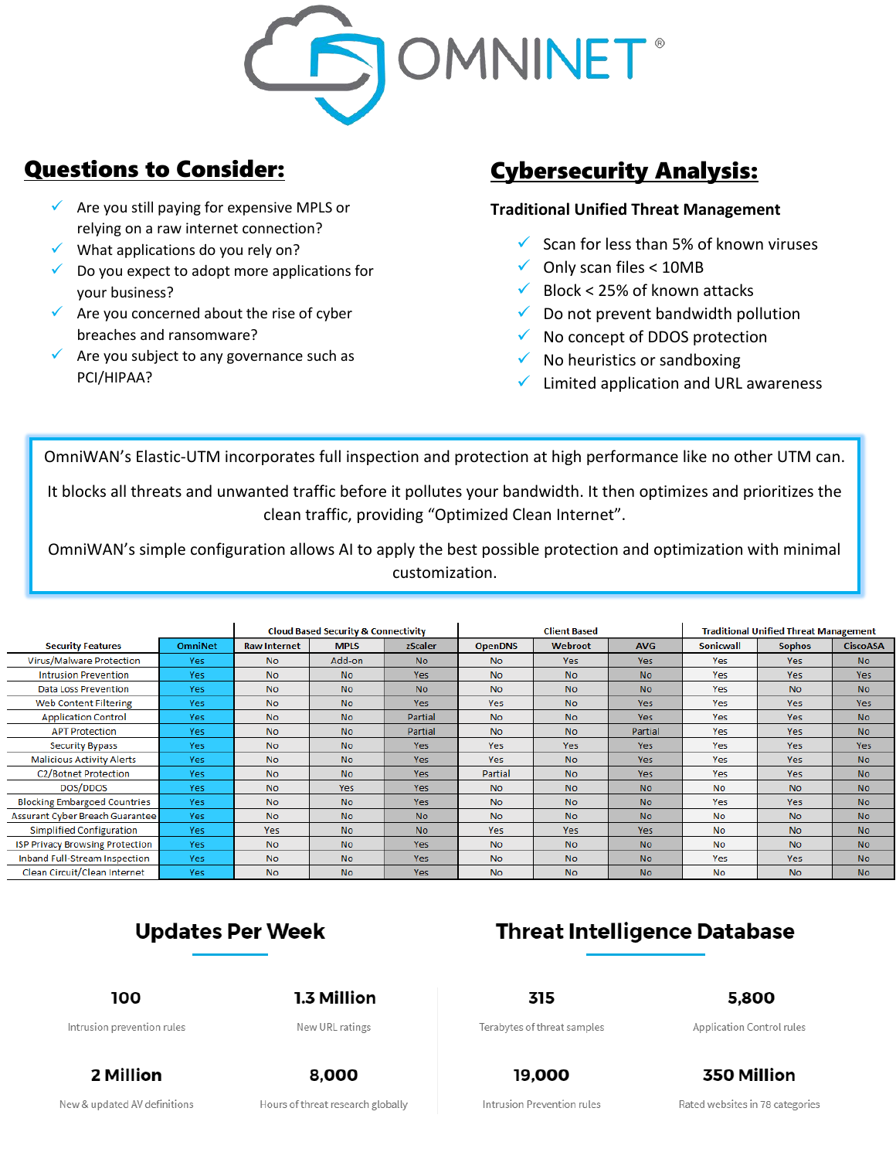

### Questions to Consider:

- $\checkmark$  Are you still paying for expensive MPLS or relying on a raw internet connection?
- What applications do you rely on?
- $\checkmark$  Do you expect to adopt more applications for your business?
- $\checkmark$  Are you concerned about the rise of cyber breaches and ransomware?
- $\checkmark$  Are you subject to any governance such as PCI/HIPAA?

# Cybersecurity Analysis:

### **Traditional Unified Threat Management**

- $\checkmark$  Scan for less than 5% of known viruses
- $\checkmark$  Only scan files < 10MB
- $\checkmark$  Block < 25% of known attacks
- $\checkmark$  Do not prevent bandwidth pollution
- $\checkmark$  No concept of DDOS protection
- $\checkmark$  No heuristics or sandboxing
- Limited application and URL awareness

OmniWAN's Elastic-UTM incorporates full inspection and protection at high performance like no other UTM can.

It blocks all threats and unwanted traffic before it pollutes your bandwidth. It then optimizes and prioritizes the clean traffic, providing "Optimized Clean Internet".

OmniWAN's simple configuration allows AI to apply the best possible protection and optimization with minimal customization.

|                                        |                |                     | <b>Cloud Based Security &amp; Connectivity</b> |                | <b>Client Based</b> |                |                | <b>Traditional Unified Threat Management</b> |                |                 |
|----------------------------------------|----------------|---------------------|------------------------------------------------|----------------|---------------------|----------------|----------------|----------------------------------------------|----------------|-----------------|
| <b>Security Features</b>               | <b>OmniNet</b> | <b>Raw Internet</b> | <b>MPLS</b>                                    | zScaler        | <b>OpenDNS</b>      | <b>Webroot</b> | <b>AVG</b>     | <b>Sonicwall</b>                             | <b>Sophos</b>  | <b>CiscoASA</b> |
| Virus/Malware Protection               | Yes            | <b>No</b>           | Add-on                                         | No.            | <b>No</b>           | <b>Yes</b>     | <b>Yes</b>     | Yes                                          | <b>Yes</b>     | <b>No</b>       |
| <b>Intrusion Prevention</b>            | Yes            | <b>No</b>           | N <sub>o</sub>                                 | <b>Yes</b>     | <b>No</b>           | <b>No</b>      | <b>No</b>      | <b>Yes</b>                                   | <b>Yes</b>     | <b>Yes</b>      |
| Data Loss Prevention                   | Yes            | <b>No</b>           | <b>No</b>                                      | <b>No</b>      | <b>No</b>           | <b>No</b>      | N <sub>o</sub> | <b>Yes</b>                                   | <b>No</b>      | N <sub>o</sub>  |
| Web Content Filtering                  | Yes            | <b>No</b>           | No.                                            | <b>Yes</b>     | <b>Yes</b>          | <b>No</b>      | Yes.           | <b>Yes</b>                                   | <b>Yes</b>     | <b>Yes</b>      |
| <b>Application Control</b>             | Yes            | No.                 | <b>No</b>                                      | Partial        | <b>No</b>           | <b>No</b>      | <b>Yes</b>     | Yes                                          | <b>Yes</b>     | <b>No</b>       |
| <b>APT Protection</b>                  | Yes            | <b>No</b>           | <b>No</b>                                      | Partial        | <b>No</b>           | <b>No</b>      | Partial        | <b>Yes</b>                                   | <b>Yes</b>     | <b>No</b>       |
| <b>Security Bypass</b>                 | Yes            | <b>No</b>           | <b>No</b>                                      | <b>Yes</b>     | <b>Yes</b>          | <b>Yes</b>     | Yes            | Yes                                          | <b>Yes</b>     | <b>Yes</b>      |
| <b>Malicious Activity Alerts</b>       | Yes            | <b>No</b>           | <b>No</b>                                      | <b>Yes</b>     | <b>Yes</b>          | <b>No</b>      | Yes.           | <b>Yes</b>                                   | <b>Yes</b>     | <b>No</b>       |
| <b>C2/Botnet Protection</b>            | Yes            | <b>No</b>           | <b>No</b>                                      | <b>Yes</b>     | Partial             | <b>No</b>      | <b>Yes</b>     | <b>Yes</b>                                   | <b>Yes</b>     | <b>No</b>       |
| DOS/DDOS                               | Yes            | <b>No</b>           | <b>Yes</b>                                     | <b>Yes</b>     | <b>No</b>           | <b>No</b>      | <b>No</b>      | <b>No</b>                                    | <b>No</b>      | <b>No</b>       |
| <b>Blocking Embargoed Countries</b>    | Yes            | <b>No</b>           | No.                                            | <b>Yes</b>     | <b>No</b>           | <b>No</b>      | N <sub>o</sub> | <b>Yes</b>                                   | <b>Yes</b>     | <b>No</b>       |
| Assurant Cyber Breach Guarantee        | Yes            | <b>No</b>           | No.                                            | <b>No</b>      | <b>No</b>           | <b>No</b>      | <b>No</b>      | <b>No</b>                                    | <b>No</b>      | <b>No</b>       |
| Simplified Configuration               | Yes            | Yes.                | No.                                            | N <sub>o</sub> | <b>Yes</b>          | <b>Yes</b>     | <b>Yes</b>     | <b>No</b>                                    | N <sub>o</sub> | No.             |
| <b>ISP Privacy Browsing Protection</b> | Yes            | <b>No</b>           | No.                                            | <b>Yes</b>     | <b>No</b>           | <b>No</b>      | <b>No</b>      | <b>No</b>                                    | <b>No</b>      | No.             |
| Inband Full-Stream Inspection          | Yes            | <b>No</b>           | <b>No</b>                                      | <b>Yes</b>     | <b>No</b>           | <b>No</b>      | N <sub>o</sub> | <b>Yes</b>                                   | <b>Yes</b>     | <b>No</b>       |
| Clean Circuit/Clean Internet           | Voc            | No.                 | N <sub>0</sub>                                 | <b>Voc</b>     | N <sub>0</sub>      | N <sub>0</sub> | N <sub>0</sub> | No.                                          | N <sub>0</sub> | No.             |



100 Intrusion prevention rules 1.3 Million

New URL ratings

315

Terabytes of threat samples

**Threat Intelligence Database** 

5.800

Application Control rules

2 Million New & updated AV definitions

8,000 Hours of threat research globally

Intrusion Prevention rules

19,000

350 Million Rated websites in 78 categories